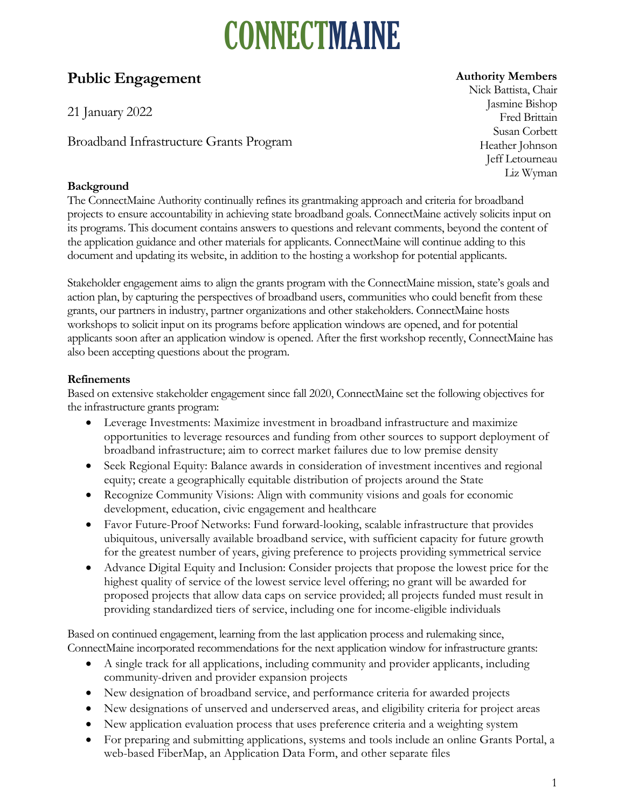### **Public Engagement**

21 January 2022

Broadband Infrastructure Grants Program

### **Background**

#### **Authority Members**

Nick Battista, Chair Jasmine Bishop Fred Brittain Susan Corbett Heather Johnson Jeff Letourneau Liz Wyman

The ConnectMaine Authority continually refines its grantmaking approach and criteria for broadband projects to ensure accountability in achieving state broadband goals. ConnectMaine actively solicits input on its programs. This document contains answers to questions and relevant comments, beyond the content of the application guidance and other materials for applicants. ConnectMaine will continue adding to this document and updating its website, in addition to the hosting a workshop for potential applicants.

Stakeholder engagement aims to align the grants program with the ConnectMaine mission, state's goals and action plan, by capturing the perspectives of broadband users, communities who could benefit from these grants, our partners in industry, partner organizations and other stakeholders. ConnectMaine hosts workshops to solicit input on its programs before application windows are opened, and for potential applicants soon after an application window is opened. After the first workshop recently, ConnectMaine has also been accepting questions about the program.

### **Refinements**

Based on extensive stakeholder engagement since fall 2020, ConnectMaine set the following objectives for the infrastructure grants program:

- Leverage Investments: Maximize investment in broadband infrastructure and maximize opportunities to leverage resources and funding from other sources to support deployment of broadband infrastructure; aim to correct market failures due to low premise density
- Seek Regional Equity: Balance awards in consideration of investment incentives and regional equity; create a geographically equitable distribution of projects around the State
- Recognize Community Visions: Align with community visions and goals for economic development, education, civic engagement and healthcare
- Favor Future-Proof Networks: Fund forward-looking, scalable infrastructure that provides ubiquitous, universally available broadband service, with sufficient capacity for future growth for the greatest number of years, giving preference to projects providing symmetrical service
- Advance Digital Equity and Inclusion: Consider projects that propose the lowest price for the highest quality of service of the lowest service level offering; no grant will be awarded for proposed projects that allow data caps on service provided; all projects funded must result in providing standardized tiers of service, including one for income-eligible individuals

Based on continued engagement, learning from the last application process and rulemaking since, ConnectMaine incorporated recommendations for the next application window for infrastructure grants:

- A single track for all applications, including community and provider applicants, including community-driven and provider expansion projects
- New designation of broadband service, and performance criteria for awarded projects
- New designations of unserved and underserved areas, and eligibility criteria for project areas
- New application evaluation process that uses preference criteria and a weighting system
- For preparing and submitting applications, systems and tools include an online Grants Portal, a web-based FiberMap, an Application Data Form, and other separate files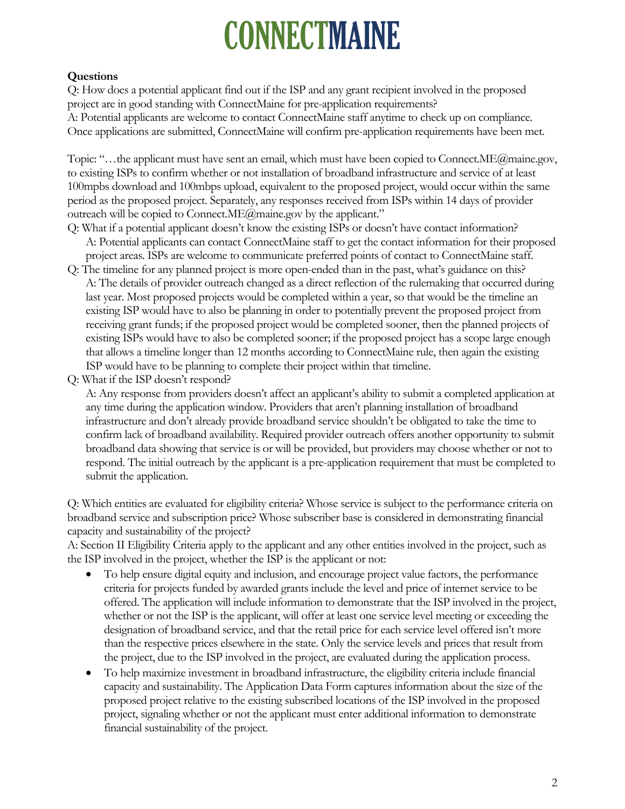### **Questions**

Q: How does a potential applicant find out if the ISP and any grant recipient involved in the proposed project are in good standing with ConnectMaine for pre-application requirements? A: Potential applicants are welcome to contact ConnectMaine staff anytime to check up on compliance. Once applications are submitted, ConnectMaine will confirm pre-application requirements have been met.

Topic: "…the applicant must have sent an email, which must have been copied to Connect.ME@maine.gov, to existing ISPs to confirm whether or not installation of broadband infrastructure and service of at least 100mpbs download and 100mbps upload, equivalent to the proposed project, would occur within the same period as the proposed project. Separately, any responses received from ISPs within 14 days of provider outreach will be copied to Connect.ME@maine.gov by the applicant."

- Q: What if a potential applicant doesn't know the existing ISPs or doesn't have contact information? A: Potential applicants can contact ConnectMaine staff to get the contact information for their proposed project areas. ISPs are welcome to communicate preferred points of contact to ConnectMaine staff.
- Q: The timeline for any planned project is more open-ended than in the past, what's guidance on this? A: The details of provider outreach changed as a direct reflection of the rulemaking that occurred during last year. Most proposed projects would be completed within a year, so that would be the timeline an existing ISP would have to also be planning in order to potentially prevent the proposed project from receiving grant funds; if the proposed project would be completed sooner, then the planned projects of existing ISPs would have to also be completed sooner; if the proposed project has a scope large enough that allows a timeline longer than 12 months according to ConnectMaine rule, then again the existing ISP would have to be planning to complete their project within that timeline.
- Q: What if the ISP doesn't respond?

A: Any response from providers doesn't affect an applicant's ability to submit a completed application at any time during the application window. Providers that aren't planning installation of broadband infrastructure and don't already provide broadband service shouldn't be obligated to take the time to confirm lack of broadband availability. Required provider outreach offers another opportunity to submit broadband data showing that service is or will be provided, but providers may choose whether or not to respond. The initial outreach by the applicant is a pre-application requirement that must be completed to submit the application.

Q: Which entities are evaluated for eligibility criteria? Whose service is subject to the performance criteria on broadband service and subscription price? Whose subscriber base is considered in demonstrating financial capacity and sustainability of the project?

A: Section II Eligibility Criteria apply to the applicant and any other entities involved in the project, such as the ISP involved in the project, whether the ISP is the applicant or not:

- To help ensure digital equity and inclusion, and encourage project value factors, the performance criteria for projects funded by awarded grants include the level and price of internet service to be offered. The application will include information to demonstrate that the ISP involved in the project, whether or not the ISP is the applicant, will offer at least one service level meeting or exceeding the designation of broadband service, and that the retail price for each service level offered isn't more than the respective prices elsewhere in the state. Only the service levels and prices that result from the project, due to the ISP involved in the project, are evaluated during the application process.
- To help maximize investment in broadband infrastructure, the eligibility criteria include financial capacity and sustainability. The Application Data Form captures information about the size of the proposed project relative to the existing subscribed locations of the ISP involved in the proposed project, signaling whether or not the applicant must enter additional information to demonstrate financial sustainability of the project.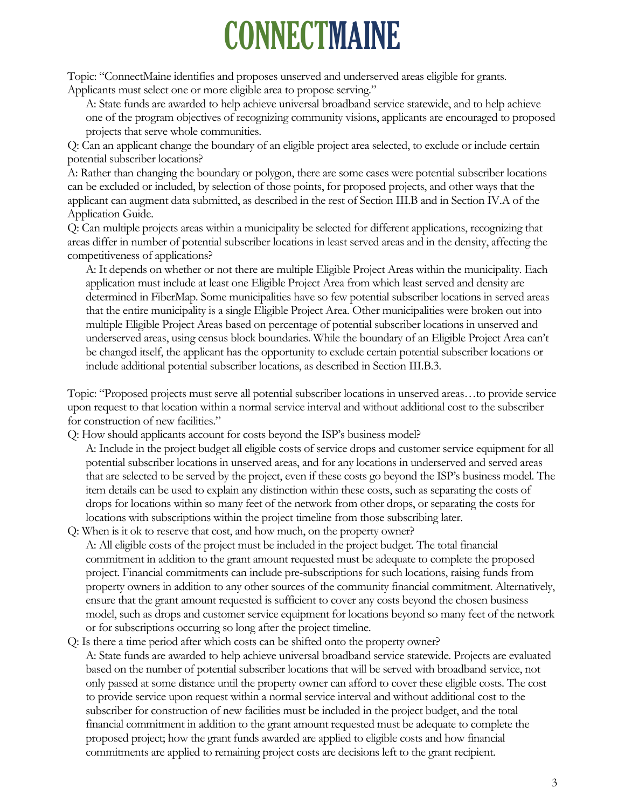Topic: "ConnectMaine identifies and proposes unserved and underserved areas eligible for grants. Applicants must select one or more eligible area to propose serving."

A: State funds are awarded to help achieve universal broadband service statewide, and to help achieve one of the program objectives of recognizing community visions, applicants are encouraged to proposed projects that serve whole communities.

Q: Can an applicant change the boundary of an eligible project area selected, to exclude or include certain potential subscriber locations?

A: Rather than changing the boundary or polygon, there are some cases were potential subscriber locations can be excluded or included, by selection of those points, for proposed projects, and other ways that the applicant can augment data submitted, as described in the rest of Section III.B and in Section IV.A of the Application Guide.

Q: Can multiple projects areas within a municipality be selected for different applications, recognizing that areas differ in number of potential subscriber locations in least served areas and in the density, affecting the competitiveness of applications?

A: It depends on whether or not there are multiple Eligible Project Areas within the municipality. Each application must include at least one Eligible Project Area from which least served and density are determined in FiberMap. Some municipalities have so few potential subscriber locations in served areas that the entire municipality is a single Eligible Project Area. Other municipalities were broken out into multiple Eligible Project Areas based on percentage of potential subscriber locations in unserved and underserved areas, using census block boundaries. While the boundary of an Eligible Project Area can't be changed itself, the applicant has the opportunity to exclude certain potential subscriber locations or include additional potential subscriber locations, as described in Section III.B.3.

Topic: "Proposed projects must serve all potential subscriber locations in unserved areas…to provide service upon request to that location within a normal service interval and without additional cost to the subscriber for construction of new facilities."

Q: How should applicants account for costs beyond the ISP's business model?

- A: Include in the project budget all eligible costs of service drops and customer service equipment for all potential subscriber locations in unserved areas, and for any locations in underserved and served areas that are selected to be served by the project, even if these costs go beyond the ISP's business model. The item details can be used to explain any distinction within these costs, such as separating the costs of drops for locations within so many feet of the network from other drops, or separating the costs for locations with subscriptions within the project timeline from those subscribing later.
- Q: When is it ok to reserve that cost, and how much, on the property owner? A: All eligible costs of the project must be included in the project budget. The total financial commitment in addition to the grant amount requested must be adequate to complete the proposed project. Financial commitments can include pre-subscriptions for such locations, raising funds from property owners in addition to any other sources of the community financial commitment. Alternatively, ensure that the grant amount requested is sufficient to cover any costs beyond the chosen business model, such as drops and customer service equipment for locations beyond so many feet of the network or for subscriptions occurring so long after the project timeline.
- Q: Is there a time period after which costs can be shifted onto the property owner? A: State funds are awarded to help achieve universal broadband service statewide. Projects are evaluated based on the number of potential subscriber locations that will be served with broadband service, not only passed at some distance until the property owner can afford to cover these eligible costs. The cost to provide service upon request within a normal service interval and without additional cost to the subscriber for construction of new facilities must be included in the project budget, and the total financial commitment in addition to the grant amount requested must be adequate to complete the proposed project; how the grant funds awarded are applied to eligible costs and how financial commitments are applied to remaining project costs are decisions left to the grant recipient.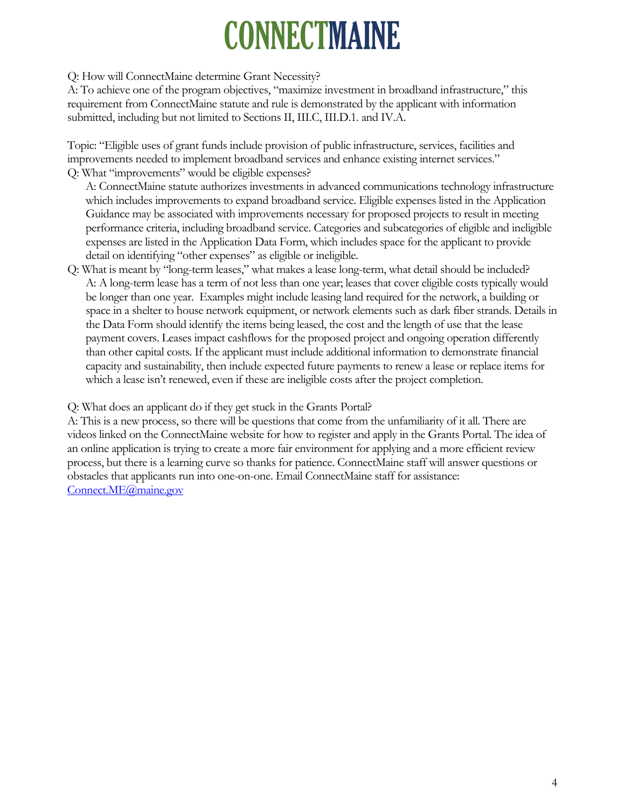#### Q: How will ConnectMaine determine Grant Necessity?

A: To achieve one of the program objectives, "maximize investment in broadband infrastructure," this requirement from ConnectMaine statute and rule is demonstrated by the applicant with information submitted, including but not limited to Sections II, III.C, III.D.1. and IV.A.

Topic: "Eligible uses of grant funds include provision of public infrastructure, services, facilities and improvements needed to implement broadband services and enhance existing internet services." Q: What "improvements" would be eligible expenses?

A: ConnectMaine statute authorizes investments in advanced communications technology infrastructure which includes improvements to expand broadband service. Eligible expenses listed in the Application Guidance may be associated with improvements necessary for proposed projects to result in meeting performance criteria, including broadband service. Categories and subcategories of eligible and ineligible expenses are listed in the Application Data Form, which includes space for the applicant to provide detail on identifying "other expenses" as eligible or ineligible.

Q: What is meant by "long-term leases," what makes a lease long-term, what detail should be included? A: A long-term lease has a term of not less than one year; leases that cover eligible costs typically would be longer than one year. Examples might include leasing land required for the network, a building or space in a shelter to house network equipment, or network elements such as dark fiber strands. Details in the Data Form should identify the items being leased, the cost and the length of use that the lease payment covers. Leases impact cashflows for the proposed project and ongoing operation differently than other capital costs. If the applicant must include additional information to demonstrate financial capacity and sustainability, then include expected future payments to renew a lease or replace items for which a lease isn't renewed, even if these are ineligible costs after the project completion.

Q: What does an applicant do if they get stuck in the Grants Portal?

A: This is a new process, so there will be questions that come from the unfamiliarity of it all. There are videos linked on the ConnectMaine website for how to register and apply in the Grants Portal. The idea of an online application is trying to create a more fair environment for applying and a more efficient review process, but there is a learning curve so thanks for patience. ConnectMaine staff will answer questions or obstacles that applicants run into one-on-one. Email ConnectMaine staff for assistance: [Connect.ME@maine.gov](mailto:Connect.ME@maine.gov)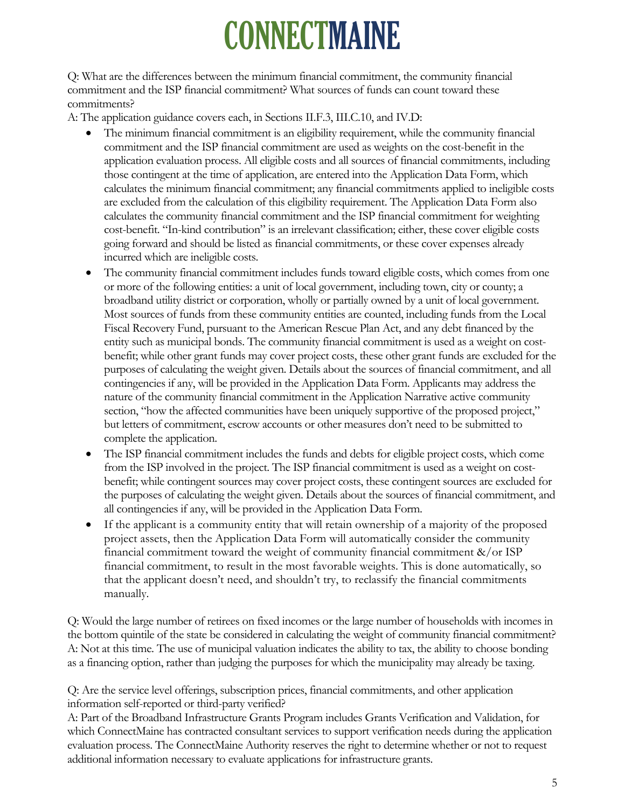Q: What are the differences between the minimum financial commitment, the community financial commitment and the ISP financial commitment? What sources of funds can count toward these commitments?

A: The application guidance covers each, in Sections II.F.3, III.C.10, and IV.D:

- The minimum financial commitment is an eligibility requirement, while the community financial commitment and the ISP financial commitment are used as weights on the cost-benefit in the application evaluation process. All eligible costs and all sources of financial commitments, including those contingent at the time of application, are entered into the Application Data Form, which calculates the minimum financial commitment; any financial commitments applied to ineligible costs are excluded from the calculation of this eligibility requirement. The Application Data Form also calculates the community financial commitment and the ISP financial commitment for weighting cost-benefit. "In-kind contribution" is an irrelevant classification; either, these cover eligible costs going forward and should be listed as financial commitments, or these cover expenses already incurred which are ineligible costs.
- The community financial commitment includes funds toward eligible costs, which comes from one or more of the following entities: a unit of local government, including town, city or county; a broadband utility district or corporation, wholly or partially owned by a unit of local government. Most sources of funds from these community entities are counted, including funds from the Local Fiscal Recovery Fund, pursuant to the American Rescue Plan Act, and any debt financed by the entity such as municipal bonds. The community financial commitment is used as a weight on costbenefit; while other grant funds may cover project costs, these other grant funds are excluded for the purposes of calculating the weight given. Details about the sources of financial commitment, and all contingencies if any, will be provided in the Application Data Form. Applicants may address the nature of the community financial commitment in the Application Narrative active community section, "how the affected communities have been uniquely supportive of the proposed project," but letters of commitment, escrow accounts or other measures don't need to be submitted to complete the application.
- The ISP financial commitment includes the funds and debts for eligible project costs, which come from the ISP involved in the project. The ISP financial commitment is used as a weight on costbenefit; while contingent sources may cover project costs, these contingent sources are excluded for the purposes of calculating the weight given. Details about the sources of financial commitment, and all contingencies if any, will be provided in the Application Data Form.
- If the applicant is a community entity that will retain ownership of a majority of the proposed project assets, then the Application Data Form will automatically consider the community financial commitment toward the weight of community financial commitment &/or ISP financial commitment, to result in the most favorable weights. This is done automatically, so that the applicant doesn't need, and shouldn't try, to reclassify the financial commitments manually.

Q: Would the large number of retirees on fixed incomes or the large number of households with incomes in the bottom quintile of the state be considered in calculating the weight of community financial commitment? A: Not at this time. The use of municipal valuation indicates the ability to tax, the ability to choose bonding as a financing option, rather than judging the purposes for which the municipality may already be taxing.

Q: Are the service level offerings, subscription prices, financial commitments, and other application information self-reported or third-party verified?

A: Part of the Broadband Infrastructure Grants Program includes Grants Verification and Validation, for which ConnectMaine has contracted consultant services to support verification needs during the application evaluation process. The ConnectMaine Authority reserves the right to determine whether or not to request additional information necessary to evaluate applications for infrastructure grants.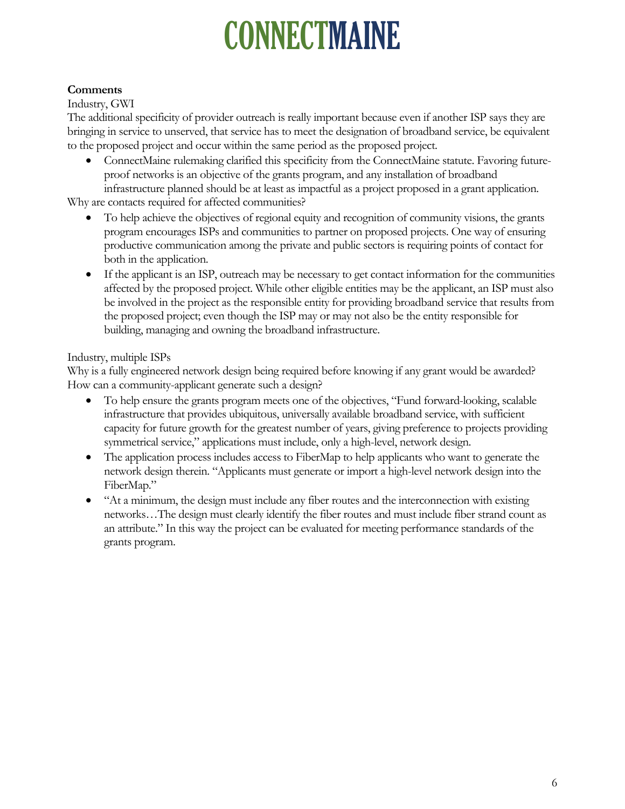#### **Comments**

#### Industry, GWI

The additional specificity of provider outreach is really important because even if another ISP says they are bringing in service to unserved, that service has to meet the designation of broadband service, be equivalent to the proposed project and occur within the same period as the proposed project.

• ConnectMaine rulemaking clarified this specificity from the ConnectMaine statute. Favoring futureproof networks is an objective of the grants program, and any installation of broadband infrastructure planned should be at least as impactful as a project proposed in a grant application.

Why are contacts required for affected communities?

- To help achieve the objectives of regional equity and recognition of community visions, the grants program encourages ISPs and communities to partner on proposed projects. One way of ensuring productive communication among the private and public sectors is requiring points of contact for both in the application.
- If the applicant is an ISP, outreach may be necessary to get contact information for the communities affected by the proposed project. While other eligible entities may be the applicant, an ISP must also be involved in the project as the responsible entity for providing broadband service that results from the proposed project; even though the ISP may or may not also be the entity responsible for building, managing and owning the broadband infrastructure.

#### Industry, multiple ISPs

Why is a fully engineered network design being required before knowing if any grant would be awarded? How can a community-applicant generate such a design?

- To help ensure the grants program meets one of the objectives, "Fund forward-looking, scalable infrastructure that provides ubiquitous, universally available broadband service, with sufficient capacity for future growth for the greatest number of years, giving preference to projects providing symmetrical service," applications must include, only a high-level, network design.
- The application process includes access to FiberMap to help applicants who want to generate the network design therein. "Applicants must generate or import a high-level network design into the FiberMap."
- "At a minimum, the design must include any fiber routes and the interconnection with existing networks…The design must clearly identify the fiber routes and must include fiber strand count as an attribute." In this way the project can be evaluated for meeting performance standards of the grants program.